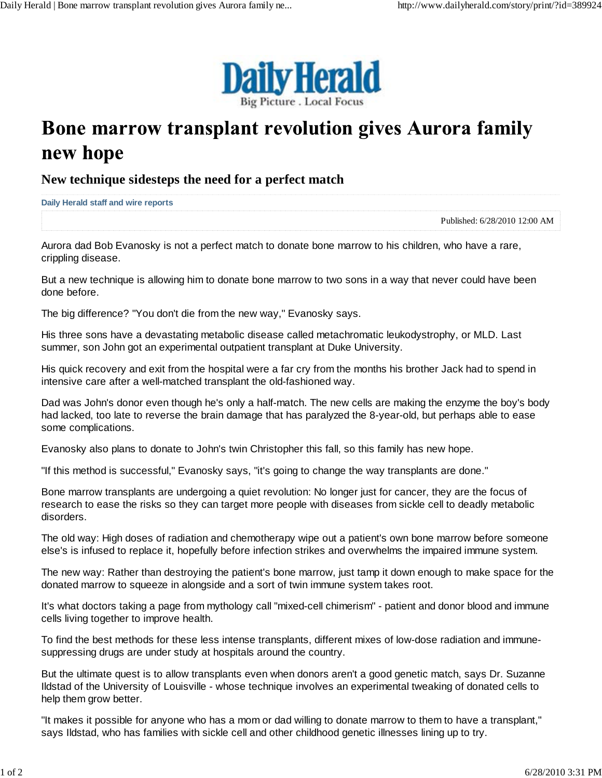

## Bone marrow transplant revolution gives Aurora family new hope

**New technique sidesteps the need for a perfect match**

**Daily Herald staff and wire reports**

Published: 6/28/2010 12:00 AM

Aurora dad Bob Evanosky is not a perfect match to donate bone marrow to his children, who have a rare, crippling disease.

But a new technique is allowing him to donate bone marrow to two sons in a way that never could have been done before.

The big difference? "You don't die from the new way," Evanosky says.

His three sons have a devastating metabolic disease called metachromatic leukodystrophy, or MLD. Last summer, son John got an experimental outpatient transplant at Duke University.

His quick recovery and exit from the hospital were a far cry from the months his brother Jack had to spend in intensive care after a well-matched transplant the old-fashioned way.

Dad was John's donor even though he's only a half-match. The new cells are making the enzyme the boy's body had lacked, too late to reverse the brain damage that has paralyzed the 8-year-old, but perhaps able to ease some complications.

Evanosky also plans to donate to John's twin Christopher this fall, so this family has new hope.

"If this method is successful," Evanosky says, "it's going to change the way transplants are done."

Bone marrow transplants are undergoing a quiet revolution: No longer just for cancer, they are the focus of research to ease the risks so they can target more people with diseases from sickle cell to deadly metabolic disorders.

The old way: High doses of radiation and chemotherapy wipe out a patient's own bone marrow before someone else's is infused to replace it, hopefully before infection strikes and overwhelms the impaired immune system.

The new way: Rather than destroying the patient's bone marrow, just tamp it down enough to make space for the donated marrow to squeeze in alongside and a sort of twin immune system takes root.

It's what doctors taking a page from mythology call "mixed-cell chimerism" - patient and donor blood and immune cells living together to improve health.

To find the best methods for these less intense transplants, different mixes of low-dose radiation and immunesuppressing drugs are under study at hospitals around the country.

But the ultimate quest is to allow transplants even when donors aren't a good genetic match, says Dr. Suzanne Ildstad of the University of Louisville - whose technique involves an experimental tweaking of donated cells to help them grow better.

"It makes it possible for anyone who has a mom or dad willing to donate marrow to them to have a transplant," says Ildstad, who has families with sickle cell and other childhood genetic illnesses lining up to try.